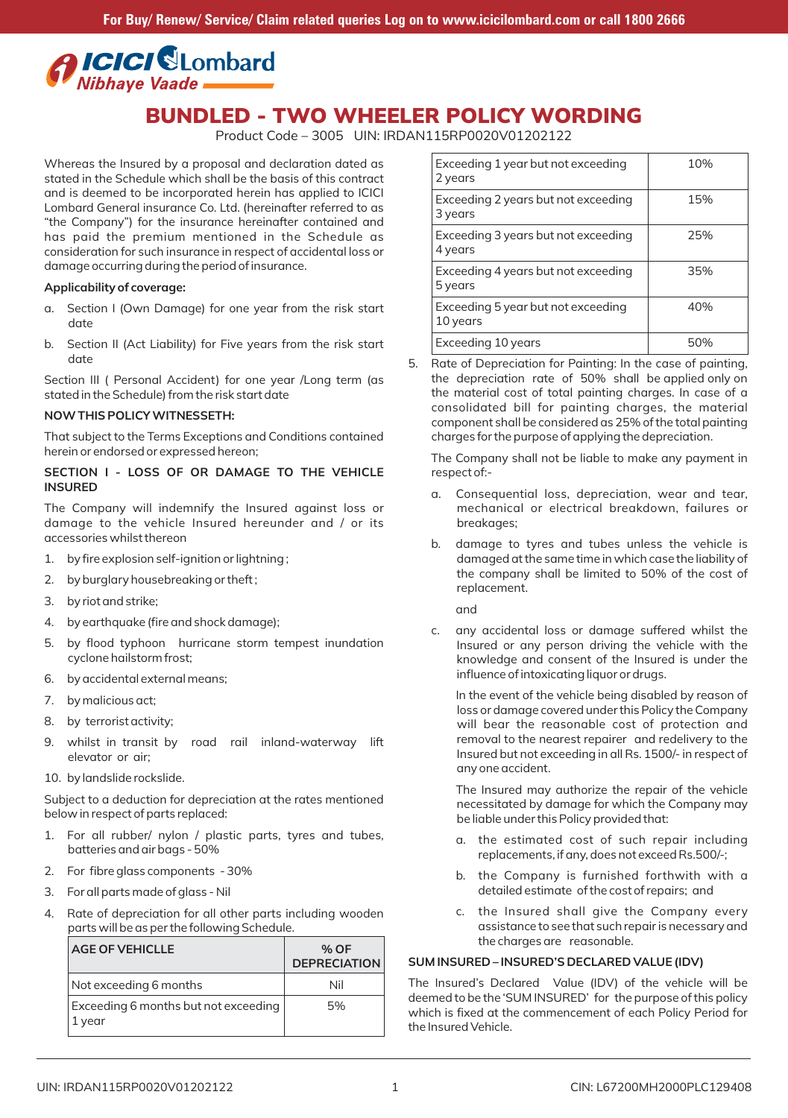

Product Code – 3005 UIN: IRDAN115RP0020V01202122

Whereas the Insured by a proposal and declaration dated as stated in the Schedule which shall be the basis of this contract and is deemed to be incorporated herein has applied to ICICI Lombard General insurance Co. Ltd. (hereinafter referred to as "the Company") for the insurance hereinafter contained and has paid the premium mentioned in the Schedule as consideration for such insurance in respect of accidental loss or damage occurring during the period of insurance.

#### **Applicability of coverage:**

- a. Section I (Own Damage) for one year from the risk start date
- b. Section II (Act Liability) for Five years from the risk start date

Section III ( Personal Accident) for one year /Long term (as stated in the Schedule) from the risk start date

#### **NOW THIS POLICY WITNESSETH:**

That subject to the Terms Exceptions and Conditions contained herein or endorsed or expressed hereon;

## **SECTION I ‐ LOSS OF OR DAMAGE TO THE VEHICLE INSURED**

The Company will indemnify the Insured against loss or damage to the vehicle Insured hereunder and / or its accessories whilst thereon

- 1. by fire explosion self-ignition or lightning;
- 2. by burglary housebreaking or theft ;
- 3. by riot and strike;
- 4. by earthquake (fire and shock damage);
- 5. by flood typhoon hurricane storm tempest inundation cyclone hailstorm frost;
- 6. by accidental external means;
- 7. by malicious act;
- 8. by terrorist activity;
- 9. whilst in transit by road rail inland-waterway lift elevator or air;
- 10. by landslide rockslide.

Subject to a deduction for depreciation at the rates mentioned below in respect of parts replaced:

- 1. For all rubber/ nylon / plastic parts, tyres and tubes, batteries and air bags ‐ 50%
- 2. For fibre glass components ‐ 30%
- 3. For all parts made of glass ‐ Nil
- Rate of depreciation for all other parts including wooden parts will be as per the following Schedule.

| <b>AGE OF VEHICLLE</b>                         | % OF<br><b>DEPRECIATION</b> |
|------------------------------------------------|-----------------------------|
| Not exceeding 6 months                         | Nil                         |
| Exceeding 6 months but not exceeding<br>1 year | 5%                          |

| Exceeding 1 year but not exceeding<br>2 years  | 10% |
|------------------------------------------------|-----|
| Exceeding 2 years but not exceeding<br>3 years | 15% |
| Exceeding 3 years but not exceeding<br>4 years | 25% |
| Exceeding 4 years but not exceeding<br>5 years | 35% |
| Exceeding 5 year but not exceeding<br>10 years | 40% |
| Exceeding 10 years                             | 50% |

Rate of Depreciation for Painting: In the case of painting, the depreciation rate of 50% shall be applied only on the material cost of total painting charges. In case of a consolidated bill for painting charges, the material component shall be considered as 25% of the total painting charges for the purpose of applying the depreciation.

The Company shall not be liable to make any payment in respect of:‐

- a. Consequential loss, depreciation, wear and tear, mechanical or electrical breakdown, failures or breakages;
- b. damage to tyres and tubes unless the vehicle is damaged at the same time in which case the liability of the company shall be limited to 50% of the cost of replacement.

and

c. any accidental loss or damage suffered whilst the Insured or any person driving the vehicle with the knowledge and consent of the Insured is under the influence of intoxicating liquor or drugs.

In the event of the vehicle being disabled by reason of loss or damage covered under this Policy the Company will bear the reasonable cost of protection and removal to the nearest repairer and redelivery to the Insured but not exceeding in all Rs. 1500/‐ in respect of any one accident.

The Insured may authorize the repair of the vehicle necessitated by damage for which the Company may be liable under this Policy provided that:

- a. the estimated cost of such repair including replacements, if any, does not exceed Rs.500/‐;
- b. the Company is furnished forthwith with a detailed estimate of the cost of repairs; and
- c. the Insured shall give the Company every assistance to see that such repair is necessary and the charges are reasonable.

# **SUM INSURED – INSURED'S DECLARED VALUE (IDV)**

The Insured's Declared Value (IDV) of the vehicle will be deemed to be the 'SUM INSURED' for the purpose of this policy which is fixed at the commencement of each Policy Period for the Insured Vehicle.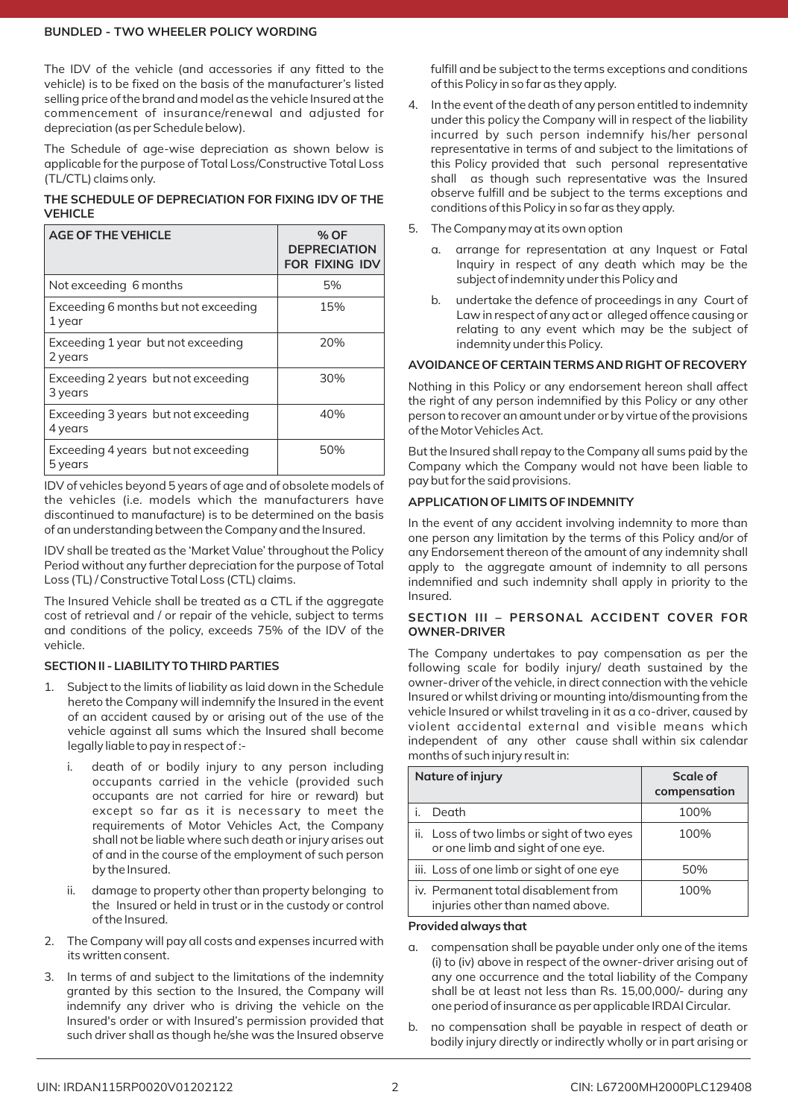The IDV of the vehicle (and accessories if any fitted to the vehicle) is to be fixed on the basis of the manufacturer's listed selling price of the brand and model as the vehicle Insured at the commencement of insurance/renewal and adjusted for depreciation (as per Schedule below).

The Schedule of age‐wise depreciation as shown below is applicable for the purpose of Total Loss/Constructive Total Loss (TL/CTL) claims only.

**THE SCHEDULE OF DEPRECIATION FOR FIXING IDV OF THE VEHICLE**

| <b>AGE OF THE VEHICLE</b>                      | % OF<br><b>DEPRECIATION</b><br><b>FOR FIXING IDV</b> |
|------------------------------------------------|------------------------------------------------------|
| Not exceeding 6 months                         | 5%                                                   |
| Exceeding 6 months but not exceeding<br>1 year | 15%                                                  |
| Exceeding 1 year but not exceeding<br>2 years  | 20%                                                  |
| Exceeding 2 years but not exceeding<br>3 years | 30%                                                  |
| Exceeding 3 years but not exceeding<br>4 years | 40%                                                  |
| Exceeding 4 years but not exceeding<br>5 years | 50%                                                  |

IDV of vehicles beyond 5 years of age and of obsolete models of the vehicles (i.e. models which the manufacturers have discontinued to manufacture) is to be determined on the basis of an understanding between the Company and the Insured.

IDV shall be treated as the 'Market Value' throughout the Policy Period without any further depreciation for the purpose of Total Loss (TL) / Constructive Total Loss (CTL) claims.

The Insured Vehicle shall be treated as a CTL if the aggregate cost of retrieval and / or repair of the vehicle, subject to terms and conditions of the policy, exceeds 75% of the IDV of the vehicle.

# **SECTION II ‐ LIABILITY TO THIRD PARTIES**

- 1. Subject to the limits of liability as laid down in the Schedule hereto the Company will indemnify the Insured in the event of an accident caused by or arising out of the use of the vehicle against all sums which the Insured shall become legally liable to pay in respect of :‐
	- i. death of or bodily injury to any person including occupants carried in the vehicle (provided such occupants are not carried for hire or reward) but except so far as it is necessary to meet the requirements of Motor Vehicles Act, the Company shall not be liable where such death or injury arises out of and in the course of the employment of such person by the Insured.
	- ii. damage to property other than property belonging to the Insured or held in trust or in the custody or control of the Insured.
- 2. The Company will pay all costs and expenses incurred with its written consent.
- 3. In terms of and subject to the limitations of the indemnity granted by this section to the Insured, the Company will indemnify any driver who is driving the vehicle on the Insured's order or with Insured's permission provided that such driver shall as though he/she was the Insured observe

fulfill and be subject to the terms exceptions and conditions of this Policy in so far as they apply.

- 4. In the event of the death of any person entitled to indemnity under this policy the Company will in respect of the liability incurred by such person indemnify his/her personal representative in terms of and subject to the limitations of this Policy provided that such personal representative shall as though such representative was the Insured observe fulfill and be subject to the terms exceptions and conditions of this Policy in so far as they apply.
- 5. The Company may at its own option
	- a. arrange for representation at any Inquest or Fatal Inquiry in respect of any death which may be the subject of indemnity under this Policy and
	- b. undertake the defence of proceedings in any Court of Law in respect of any act or alleged offence causing or relating to any event which may be the subject of indemnity under this Policy.

# **AVOIDANCE OF CERTAIN TERMS AND RIGHT OF RECOVERY**

Nothing in this Policy or any endorsement hereon shall affect the right of any person indemnified by this Policy or any other person to recover an amount under or by virtue of the provisions of the Motor Vehicles Act.

But the Insured shall repay to the Company all sums paid by the Company which the Company would not have been liable to pay but for the said provisions.

# **APPLICATION OF LIMITS OF INDEMNITY**

In the event of any accident involving indemnity to more than one person any limitation by the terms of this Policy and/or of any Endorsement thereon of the amount of any indemnity shall apply to the aggregate amount of indemnity to all persons indemnified and such indemnity shall apply in priority to the Insured.

# **SECTION III – PERSONAL ACCIDENT COVER FOR OWNER‐DRIVER**

The Company undertakes to pay compensation as per the following scale for bodily injury/ death sustained by the owner‐driver of the vehicle, in direct connection with the vehicle Insured or whilst driving or mounting into/dismounting from the vehicle Insured or whilst traveling in it as a co-driver, caused by violent accidental external and visible means which independent of any other cause shall within six calendar months of such injury result in:

| Nature of injury                                                                | Scale of<br>compensation |
|---------------------------------------------------------------------------------|--------------------------|
| Death                                                                           | 100%                     |
| ii. Loss of two limbs or sight of two eyes<br>or one limb and sight of one eye. | 100%                     |
| iii. Loss of one limb or sight of one eye                                       | 50%                      |
| iv. Permanent total disablement from<br>injuries other than named above.        | 100%                     |

#### **Provided always that**

- a. compensation shall be payable under only one of the items (i) to (iv) above in respect of the owner‐driver arising out of any one occurrence and the total liability of the Company shall be at least not less than Rs. 15,00,000/‐ during any one period of insurance as per applicable IRDAI Circular.
- b. no compensation shall be payable in respect of death or bodily injury directly or indirectly wholly or in part arising or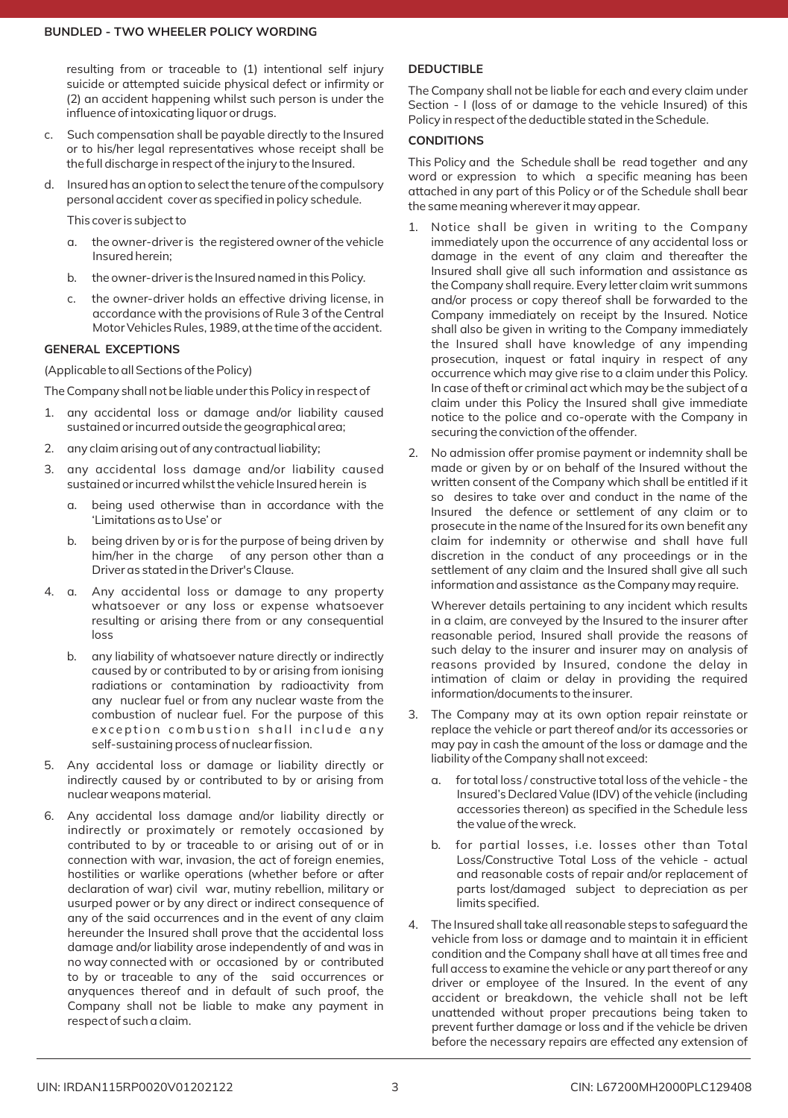resulting from or traceable to (1) intentional self injury suicide or attempted suicide physical defect or infirmity or (2) an accident happening whilst such person is under the influence of intoxicating liquor or drugs.

- c. Such compensation shall be payable directly to the Insured or to his/her legal representatives whose receipt shall be the full discharge in respect of the injury to the Insured.
- d. Insured has an option to select the tenure of the compulsory personal accident cover as specified in policy schedule.

This cover is subject to

- a. the owner‐driver is the registered owner of the vehicle Insured herein;
- b. the owner‐driver is the Insured named in this Policy.
- c. the owner‐driver holds an effective driving license, in accordance with the provisions of Rule 3 of the Central Motor Vehicles Rules, 1989, at the time of the accident.

# **GENERAL EXCEPTIONS**

(Applicable to all Sections of the Policy)

The Company shall not be liable under this Policy in respect of

- 1. any accidental loss or damage and/or liability caused sustained or incurred outside the geographical area;
- 2. any claim arising out of any contractual liability;
- 3. any accidental loss damage and/or liability caused sustained or incurred whilst the vehicle Insured herein is
	- a. being used otherwise than in accordance with the 'Limitations as to Use' or
	- b. being driven by or is for the purpose of being driven by him/her in the charge of any person other than a Driver as stated in the Driver's Clause.
- 4. a. Any accidental loss or damage to any property whatsoever or any loss or expense whatsoever resulting or arising there from or any consequential loss
	- b. any liability of whatsoever nature directly or indirectly caused by or contributed to by or arising from ionising radiations or contamination by radioactivity from any nuclear fuel or from any nuclear waste from the combustion of nuclear fuel. For the purpose of this exception combustion shall include any self‐sustaining process of nuclear fission.
- 5. Any accidental loss or damage or liability directly or indirectly caused by or contributed to by or arising from nuclear weapons material.
- 6. Any accidental loss damage and/or liability directly or indirectly or proximately or remotely occasioned by contributed to by or traceable to or arising out of or in connection with war, invasion, the act of foreign enemies, hostilities or warlike operations (whether before or after declaration of war) civil war, mutiny rebellion, military or usurped power or by any direct or indirect consequence of any of the said occurrences and in the event of any claim hereunder the Insured shall prove that the accidental loss damage and/or liability arose independently of and was in no way connected with or occasioned by or contributed to by or traceable to any of the said occurrences or anyquences thereof and in default of such proof, the Company shall not be liable to make any payment in respect of such a claim.

# **DEDUCTIBLE**

The Company shall not be liable for each and every claim under Section ‐ I (loss of or damage to the vehicle Insured) of this Policy in respect of the deductible stated in the Schedule.

# **CONDITIONS**

This Policy and the Schedule shall be read together and any word or expression to which a specific meaning has been attached in any part of this Policy or of the Schedule shall bear the same meaning wherever it may appear.

- Notice shall be given in writing to the Company immediately upon the occurrence of any accidental loss or damage in the event of any claim and thereafter the Insured shall give all such information and assistance as the Company shall require. Every letter claim writ summons and/or process or copy thereof shall be forwarded to the Company immediately on receipt by the Insured. Notice shall also be given in writing to the Company immediately the Insured shall have knowledge of any impending prosecution, inquest or fatal inquiry in respect of any occurrence which may give rise to a claim under this Policy. In case of theft or criminal act which may be the subject of a claim under this Policy the Insured shall give immediate notice to the police and co‐operate with the Company in securing the conviction of the offender.
- 2. No admission offer promise payment or indemnity shall be made or given by or on behalf of the Insured without the written consent of the Company which shall be entitled if it so desires to take over and conduct in the name of the Insured the defence or settlement of any claim or to prosecute in the name of the Insured for its own benefit any claim for indemnity or otherwise and shall have full discretion in the conduct of any proceedings or in the settlement of any claim and the Insured shall give all such information and assistance as the Company may require.

Wherever details pertaining to any incident which results in a claim, are conveyed by the Insured to the insurer after reasonable period, Insured shall provide the reasons of such delay to the insurer and insurer may on analysis of reasons provided by Insured, condone the delay in intimation of claim or delay in providing the required information/documents to the insurer.

- The Company may at its own option repair reinstate or replace the vehicle or part thereof and/or its accessories or may pay in cash the amount of the loss or damage and the liability of the Company shall not exceed:
	- a. for total loss / constructive total loss of the vehicle ‐ the Insured's Declared Value (IDV) of the vehicle (including accessories thereon) as specified in the Schedule less the value of the wreck.
	- b. for partial losses, i.e. losses other than Total Loss/Constructive Total Loss of the vehicle ‐ actual and reasonable costs of repair and/or replacement of parts lost/damaged subject to depreciation as per limits specified.
- 4. The Insured shall take all reasonable steps to safeguard the vehicle from loss or damage and to maintain it in efficient condition and the Company shall have at all times free and full access to examine the vehicle or any part thereof or any driver or employee of the Insured. In the event of any accident or breakdown, the vehicle shall not be left unattended without proper precautions being taken to prevent further damage or loss and if the vehicle be driven before the necessary repairs are effected any extension of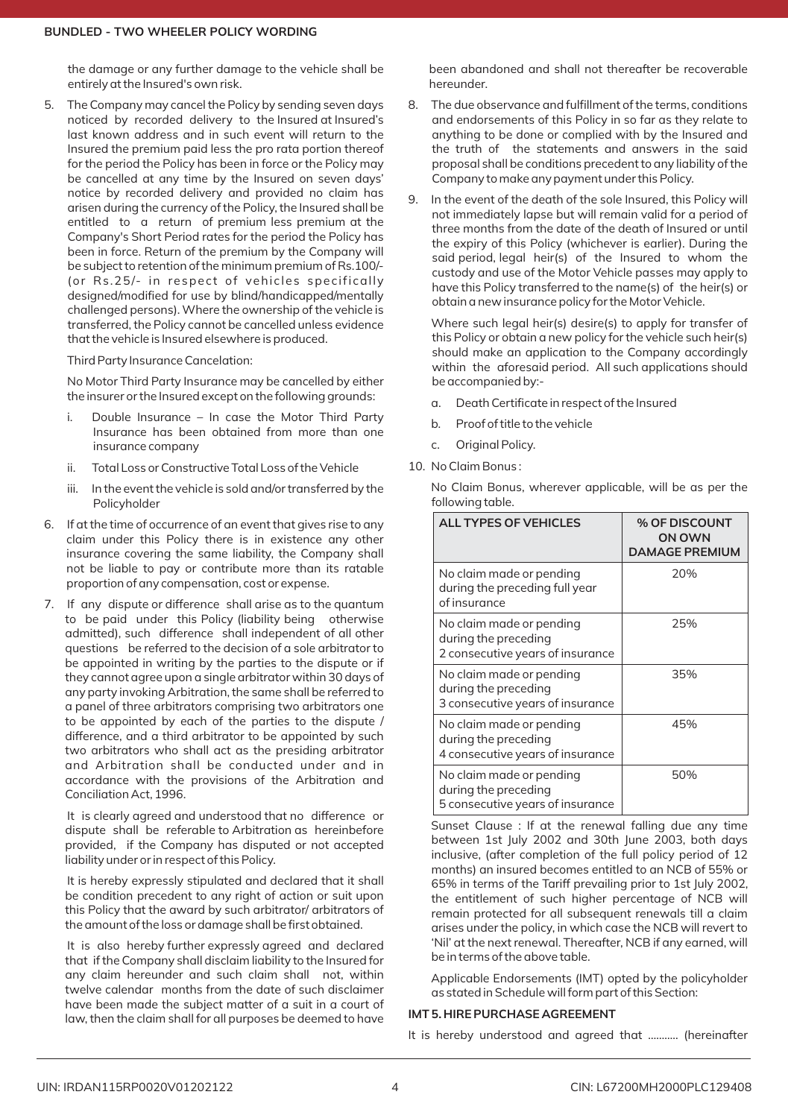the damage or any further damage to the vehicle shall be entirely at the Insured's own risk.

5. The Company may cancel the Policy by sending seven days noticed by recorded delivery to the Insured at Insured's last known address and in such event will return to the Insured the premium paid less the pro rata portion thereof for the period the Policy has been in force or the Policy may be cancelled at any time by the Insured on seven days' notice by recorded delivery and provided no claim has arisen during the currency of the Policy, the Insured shall be entitled to a return of premium less premium at the Company's Short Period rates for the period the Policy has been in force. Return of the premium by the Company will be subject to retention of the minimum premium of Rs.100/‐ (or Rs.25/- in respect of vehicles specifically designed/modified for use by blind/handicapped/mentally challenged persons). Where the ownership of the vehicle is transferred, the Policy cannot be cancelled unless evidence that the vehicle is Insured elsewhere is produced.

Third Party Insurance Cancelation:

No Motor Third Party Insurance may be cancelled by either the insurer or the Insured except on the following grounds:

- i. Double Insurance In case the Motor Third Party Insurance has been obtained from more than one insurance company
- ii. Total Loss or Constructive Total Loss of the Vehicle
- iii. In the event the vehicle is sold and/or transferred by the Policyholder
- 6. If at the time of occurrence of an event that gives rise to any claim under this Policy there is in existence any other insurance covering the same liability, the Company shall not be liable to pay or contribute more than its ratable proportion of any compensation, cost or expense.
- 7. If any dispute or difference shall arise as to the quantum to be paid under this Policy (liability being otherwise admitted), such difference shall independent of all other questions be referred to the decision of a sole arbitrator to be appointed in writing by the parties to the dispute or if they cannot agree upon a single arbitrator within 30 days of any party invoking Arbitration, the same shall be referred to a panel of three arbitrators comprising two arbitrators one to be appointed by each of the parties to the dispute / difference, and a third arbitrator to be appointed by such two arbitrators who shall act as the presiding arbitrator and Arbitration shall be conducted under and in accordance with the provisions of the Arbitration and Conciliation Act, 1996.

It is clearly agreed and understood that no difference or dispute shall be referable to Arbitration as hereinbefore provided, if the Company has disputed or not accepted liability under or in respect of this Policy.

It is hereby expressly stipulated and declared that it shall be condition precedent to any right of action or suit upon this Policy that the award by such arbitrator/ arbitrators of the amount of the loss or damage shall be first obtained.

It is also hereby further expressly agreed and declared that if the Company shall disclaim liability to the Insured for any claim hereunder and such claim shall not, within twelve calendar months from the date of such disclaimer have been made the subject matter of a suit in a court of law, then the claim shall for all purposes be deemed to have been abandoned and shall not thereafter be recoverable hereunder.

- 8. The due observance and fulfillment of the terms, conditions and endorsements of this Policy in so far as they relate to anything to be done or complied with by the Insured and the truth of the statements and answers in the said proposal shall be conditions precedent to any liability of the Company to make any payment under this Policy.
- 9. In the event of the death of the sole Insured, this Policy will not immediately lapse but will remain valid for a period of three months from the date of the death of Insured or until the expiry of this Policy (whichever is earlier). During the said period, legal heir(s) of the Insured to whom the custody and use of the Motor Vehicle passes may apply to have this Policy transferred to the name(s) of the heir(s) or obtain a new insurance policy for the Motor Vehicle.

Where such legal heir(s) desire(s) to apply for transfer of this Policy or obtain a new policy for the vehicle such heir(s) should make an application to the Company accordingly within the aforesaid period. All such applications should be accompanied by:‐

- a. Death Certificate in respect of the Insured
- b. Proof of title to the vehicle
- c. Original Policy.
- 10. No Claim Bonus :

No Claim Bonus, wherever applicable, will be as per the following table.

| <b>ALL TYPES OF VEHICLES</b>                                                         | <b>% OF DISCOUNT</b><br>ON OWN<br><b>DAMAGE PREMIUM</b> |
|--------------------------------------------------------------------------------------|---------------------------------------------------------|
| No claim made or pending<br>during the preceding full year<br>of insurance           | 20%                                                     |
| No claim made or pending<br>during the preceding<br>2 consecutive years of insurance | 25%                                                     |
| No claim made or pending<br>during the preceding<br>3 consecutive years of insurance | 35%                                                     |
| No claim made or pending<br>during the preceding<br>4 consecutive years of insurance | 45%                                                     |
| No claim made or pending<br>during the preceding<br>5 consecutive years of insurance | 50%                                                     |

Sunset Clause : If at the renewal falling due any time between 1st July 2002 and 30th June 2003, both days inclusive, (after completion of the full policy period of 12 months) an insured becomes entitled to an NCB of 55% or 65% in terms of the Tariff prevailing prior to 1st July 2002, the entitlement of such higher percentage of NCB will remain protected for all subsequent renewals till a claim arises under the policy, in which case the NCB will revert to 'Nil' at the next renewal. Thereafter, NCB if any earned, will be in terms of the above table.

Applicable Endorsements (IMT) opted by the policyholder as stated in Schedule will form part of this Section:

# **IMT 5. HIRE PURCHASE AGREEMENT**

It is hereby understood and agreed that ……….. (hereinafter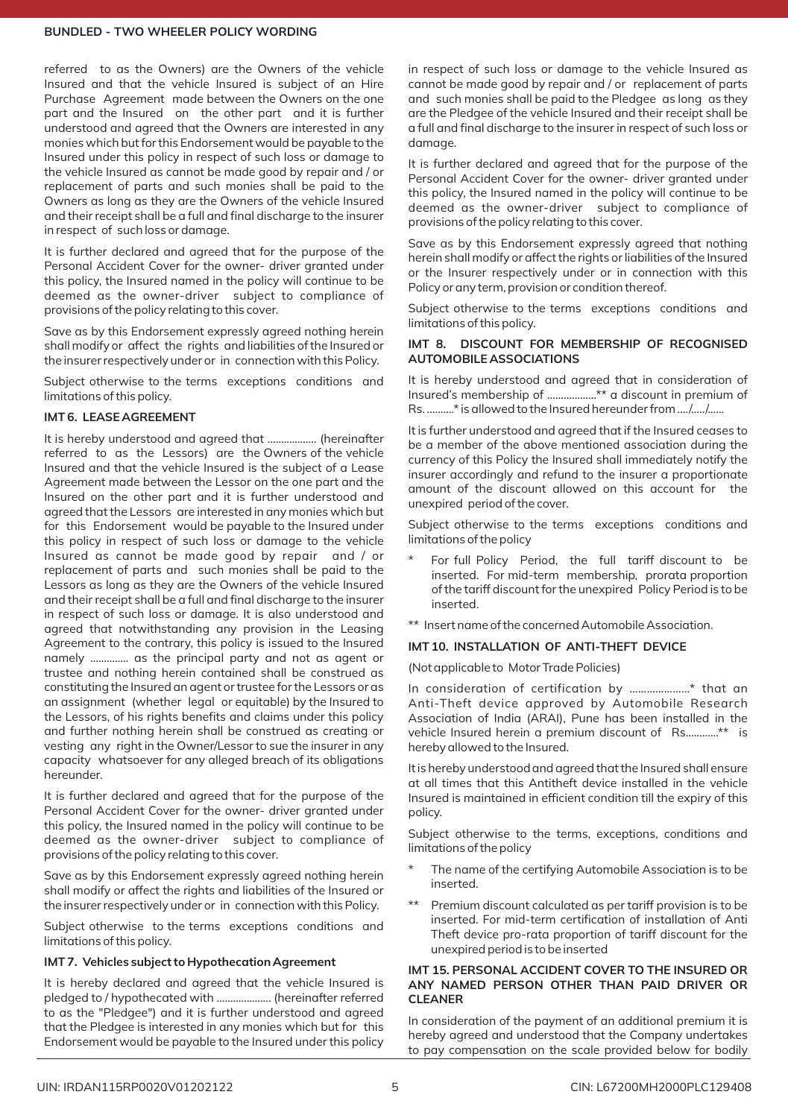referred to as the Owners) are the Owners of the vehicle Insured and that the vehicle Insured is subject of an Hire Purchase Agreement made between the Owners on the one part and the Insured on the other part and it is further understood and agreed that the Owners are interested in any monies which but for this Endorsement would be payable to the Insured under this policy in respect of such loss or damage to the vehicle Insured as cannot be made good by repair and / or replacement of parts and such monies shall be paid to the Owners as long as they are the Owners of the vehicle Insured and their receipt shall be a full and final discharge to the insurer in respect of such loss or damage.

It is further declared and agreed that for the purpose of the Personal Accident Cover for the owner‐ driver granted under this policy, the Insured named in the policy will continue to be deemed as the owner‐driver subject to compliance of provisions of the policy relating to this cover.

Save as by this Endorsement expressly agreed nothing herein shall modify or affect the rights and liabilities of the Insured or the insurer respectively under or in connection with this Policy.

Subject otherwise to the terms exceptions conditions and limitations of this policy.

# **IMT 6. LEASE AGREEMENT**

It is hereby understood and agreed that ……………… (hereinafter referred to as the Lessors) are the Owners of the vehicle Insured and that the vehicle Insured is the subject of a Lease Agreement made between the Lessor on the one part and the Insured on the other part and it is further understood and agreed that the Lessors are interested in any monies which but for this Endorsement would be payable to the Insured under this policy in respect of such loss or damage to the vehicle Insured as cannot be made good by repair and / or replacement of parts and such monies shall be paid to the Lessors as long as they are the Owners of the vehicle Insured and their receipt shall be a full and final discharge to the insurer in respect of such loss or damage. It is also understood and agreed that notwithstanding any provision in the Leasing Agreement to the contrary, this policy is issued to the Insured namely ………….. as the principal party and not as agent or trustee and nothing herein contained shall be construed as constituting the Insured an agent or trustee for the Lessors or as an assignment (whether legal or equitable) by the Insured to the Lessors, of his rights benefits and claims under this policy and further nothing herein shall be construed as creating or vesting any right in the Owner/Lessor to sue the insurer in any capacity whatsoever for any alleged breach of its obligations hereunder.

It is further declared and agreed that for the purpose of the Personal Accident Cover for the owner‐ driver granted under this policy, the Insured named in the policy will continue to be deemed as the owner‐driver subject to compliance of provisions of the policy relating to this cover.

Save as by this Endorsement expressly agreed nothing herein shall modify or affect the rights and liabilities of the Insured or the insurer respectively under or in connection with this Policy.

Subject otherwise to the terms exceptions conditions and limitations of this policy.

# **IMT 7. Vehicles subject to Hypothecation Agreement**

It is hereby declared and agreed that the vehicle Insured is pledged to / hypothecated with ……………….. (hereinafter referred to as the "Pledgee") and it is further understood and agreed that the Pledgee is interested in any monies which but for this Endorsement would be payable to the Insured under this policy in respect of such loss or damage to the vehicle Insured as cannot be made good by repair and / or replacement of parts and such monies shall be paid to the Pledgee as long as they are the Pledgee of the vehicle Insured and their receipt shall be a full and final discharge to the insurer in respect of such loss or damage.

It is further declared and agreed that for the purpose of the Personal Accident Cover for the owner‐ driver granted under this policy, the Insured named in the policy will continue to be deemed as the owner‐driver subject to compliance of provisions of the policy relating to this cover.

Save as by this Endorsement expressly agreed that nothing herein shall modify or affect the rights or liabilities of the Insured or the Insurer respectively under or in connection with this Policy or any term, provision or condition thereof.

Subject otherwise to the terms exceptions conditions and limitations of this policy.

## **IMT 8. DISCOUNT FOR MEMBERSHIP OF RECOGNISED AUTOMOBILE ASSOCIATIONS**

It is hereby understood and agreed that in consideration of Insured's membership of ………………\*\* a discount in premium of Rs. ……….\* is allowed to the Insured hereunder from …./…../…...

It is further understood and agreed that if the Insured ceases to be a member of the above mentioned association during the currency of this Policy the Insured shall immediately notify the insurer accordingly and refund to the insurer a proportionate amount of the discount allowed on this account for the unexpired period of the cover.

Subject otherwise to the terms exceptions conditions and limitations of the policy

- For full Policy Period, the full tariff discount to be inserted. For mid‐term membership, prorata proportion of the tariff discount for the unexpired Policy Period is to be inserted.
- \*\* Insert name of the concerned Automobile Association.

#### **IMT 10. INSTALLATION OF ANTI‐THEFT DEVICE**

(Not applicable to Motor Trade Policies)

In consideration of certification by …………………\* that an Anti‐Theft device approved by Automobile Research Association of India (ARAI), Pune has been installed in the vehicle Insured herein a premium discount of Rs…………\*\* is hereby allowed to the Insured.

It is hereby understood and agreed that the Insured shall ensure at all times that this Antitheft device installed in the vehicle Insured is maintained in efficient condition till the expiry of this policy.

Subject otherwise to the terms, exceptions, conditions and limitations of the policy

- The name of the certifying Automobile Association is to be inserted.
- Premium discount calculated as per tariff provision is to be inserted. For mid‐term certification of installation of Anti Theft device pro‐rata proportion of tariff discount for the unexpired period is to be inserted

#### **IMT 15. PERSONAL ACCIDENT COVER TO THE INSURED OR ANY NAMED PERSON OTHER THAN PAID DRIVER OR CLEANER**

In consideration of the payment of an additional premium it is hereby agreed and understood that the Company undertakes to pay compensation on the scale provided below for bodily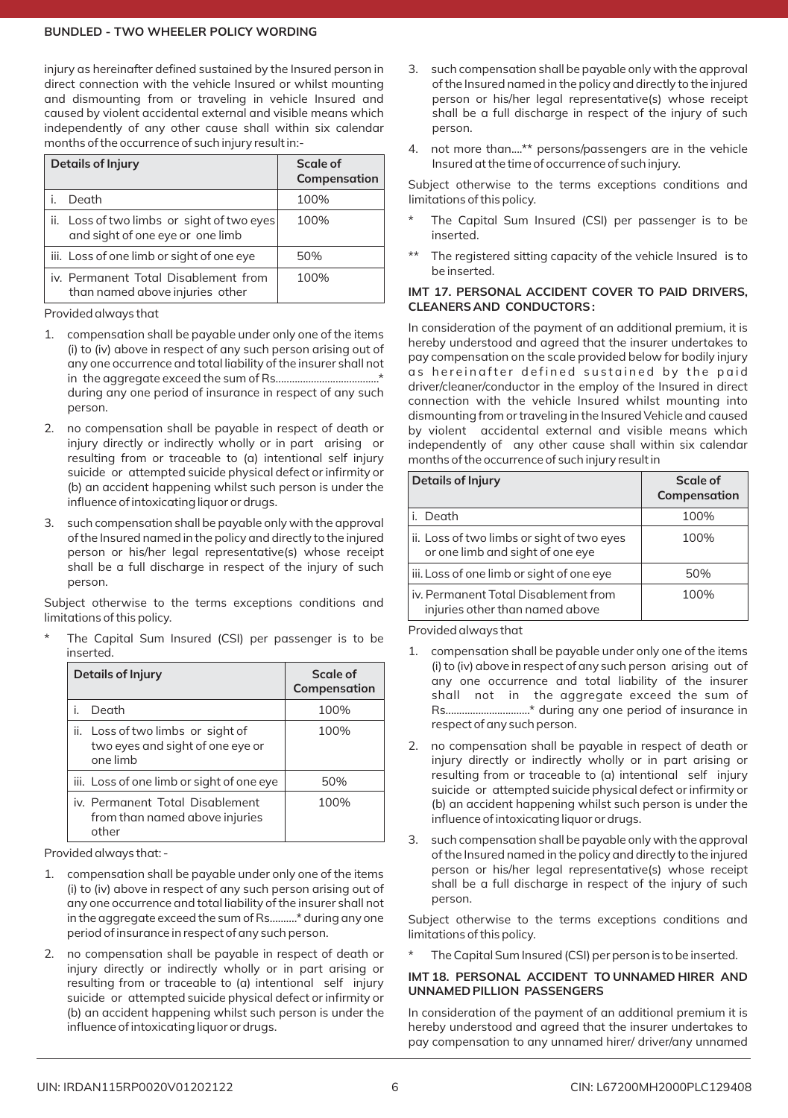injury as hereinafter defined sustained by the Insured person in direct connection with the vehicle Insured or whilst mounting and dismounting from or traveling in vehicle Insured and caused by violent accidental external and visible means which independently of any other cause shall within six calendar months of the occurrence of such injury result in:‐

| <b>Details of Injury</b>                                                       | Scale of<br>Compensation |
|--------------------------------------------------------------------------------|--------------------------|
| Death                                                                          | 100%                     |
| ii. Loss of two limbs or sight of two eyes<br>and sight of one eye or one limb | 100%                     |
| iii. Loss of one limb or sight of one eye                                      | 50%                      |
| iv. Permanent Total Disablement from<br>than named above injuries other        | 100%                     |

Provided always that

- 1. compensation shall be payable under only one of the items (i) to (iv) above in respect of any such person arising out of any one occurrence and total liability of the insurer shall not in the aggregate exceed the sum of Rs.....…..............................\* during any one period of insurance in respect of any such person.
- 2. no compensation shall be payable in respect of death or injury directly or indirectly wholly or in part arising or resulting from or traceable to (a) intentional self injury suicide or attempted suicide physical defect or infirmity or (b) an accident happening whilst such person is under the influence of intoxicating liquor or drugs.
- 3. such compensation shall be payable only with the approval of the Insured named in the policy and directly to the injured person or his/her legal representative(s) whose receipt shall be a full discharge in respect of the injury of such person.

Subject otherwise to the terms exceptions conditions and limitations of this policy.

The Capital Sum Insured (CSI) per passenger is to be inserted.

| <b>Details of Injury</b>                                                          | Scale of<br>Compensation |
|-----------------------------------------------------------------------------------|--------------------------|
| Death                                                                             | 100%                     |
| ii. Loss of two limbs or sight of<br>two eyes and sight of one eye or<br>one limb | 100%                     |
| iii. Loss of one limb or sight of one eye                                         | 50%                      |
| iv. Permanent Total Disablement<br>from than named above injuries<br>other        | 100%                     |

Provided always that: ‐

- 1. compensation shall be payable under only one of the items (i) to (iv) above in respect of any such person arising out of any one occurrence and total liability of the insurer shall not in the aggregate exceed the sum of Rs.....…..\* during any one period of insurance in respect of any such person.
- 2. no compensation shall be payable in respect of death or injury directly or indirectly wholly or in part arising or resulting from or traceable to (a) intentional self injury suicide or attempted suicide physical defect or infirmity or (b) an accident happening whilst such person is under the influence of intoxicating liquor or drugs.
- 3. such compensation shall be payable only with the approval of the Insured named in the policy and directly to the injured person or his/her legal representative(s) whose receipt shall be a full discharge in respect of the injury of such person.
- 4. not more than....\*\* persons/passengers are in the vehicle Insured at the time of occurrence of such injury.

Subject otherwise to the terms exceptions conditions and limitations of this policy.

- The Capital Sum Insured (CSI) per passenger is to be inserted.
- The registered sitting capacity of the vehicle Insured is to be inserted.

#### **IMT 17. PERSONAL ACCIDENT COVER TO PAID DRIVERS. CLEANERS AND CONDUCTORS :**

In consideration of the payment of an additional premium, it is hereby understood and agreed that the insurer undertakes to pay compensation on the scale provided below for bodily injury as hereinafter defined sustained by the paid driver/cleaner/conductor in the employ of the Insured in direct connection with the vehicle Insured whilst mounting into dismounting from or traveling in the Insured Vehicle and caused by violent accidental external and visible means which independently of any other cause shall within six calendar months of the occurrence of such injury result in

| <b>Details of Injury</b>                                                       | Scale of<br>Compensation |
|--------------------------------------------------------------------------------|--------------------------|
| i. Death                                                                       | 100%                     |
| ii. Loss of two limbs or sight of two eyes<br>or one limb and sight of one eye | 100%                     |
| iii. Loss of one limb or sight of one eye                                      | 50%                      |
| iv. Permanent Total Disablement from<br>injuries other than named above        | 100%                     |

Provided always that

- 1. compensation shall be payable under only one of the items (i) to (iv) above in respect of any such person arising out of any one occurrence and total liability of the insurer shall not in the aggregate exceed the sum of Rs..........................…..\* during any one period of insurance in respect of any such person.
- 2. no compensation shall be payable in respect of death or injury directly or indirectly wholly or in part arising or resulting from or traceable to (a) intentional self injury suicide or attempted suicide physical defect or infirmity or (b) an accident happening whilst such person is under the influence of intoxicating liquor or drugs.
- 3. such compensation shall be payable only with the approval of the Insured named in the policy and directly to the injured person or his/her legal representative(s) whose receipt shall be a full discharge in respect of the injury of such person.

Subject otherwise to the terms exceptions conditions and limitations of this policy.

The Capital Sum Insured (CSI) per person is to be inserted.

#### **IMT 18. PERSONAL ACCIDENT TO UNNAMED HIRER AND UNNAMED PILLION PASSENGERS**

In consideration of the payment of an additional premium it is hereby understood and agreed that the insurer undertakes to pay compensation to any unnamed hirer/ driver/any unnamed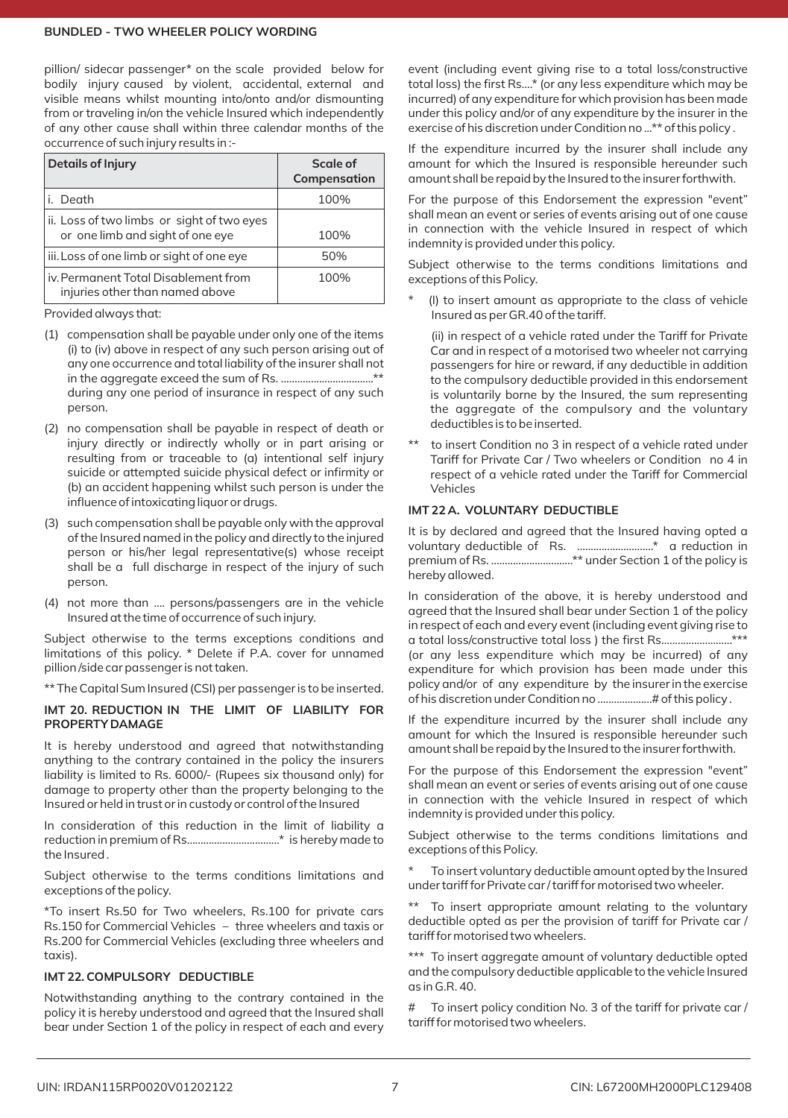pillion/ sidecar passenger\* on the scale provided below for .<br>bodily injury caused by violent, accidental, external and visible means whilst mounting into/onto and/or dismounting from or traveling in/on the vehicle Insured which independently of any other cause shall within three calendar months of the occurrence of such injury results in :‐

| <b>Details of Injury</b>                                                       | Scale of<br>Compensation |
|--------------------------------------------------------------------------------|--------------------------|
| i. Death                                                                       | 100%                     |
| ii. Loss of two limbs or sight of two eyes<br>or one limb and sight of one eye | 100%                     |
| iii. Loss of one limb or sight of one eye                                      | 50%                      |
| iv. Permanent Total Disablement from<br>injuries other than named above        | 100%                     |

Provided always that:

- (1) compensation shall be payable under only one of the items (i) to (iv) above in respect of any such person arising out of any one occurrence and total liability of the insurer shall not in the aggregate exceed the sum of Rs. ....…...........................\*\* during any one period of insurance in respect of any such person.
- (2) no compensation shall be payable in respect of death or injury directly or indirectly wholly or in part arising or resulting from or traceable to (a) intentional self injury suicide or attempted suicide physical defect or infirmity or (b) an accident happening whilst such person is under the influence of intoxicating liquor or drugs.
- (3) such compensation shall be payable only with the approval of the Insured named in the policy and directly to the injured person or his/her legal representative(s) whose receipt shall be a full discharge in respect of the injury of such person.
- (4) not more than .... persons/passengers are in the vehicle Insured at the time of occurrence of such injury.

Subject otherwise to the terms exceptions conditions and limitations of this policy. \* Delete if P.A. cover for unnamed pillion /side car passenger is not taken.

\*\* The Capital Sum Insured (CSI) per passenger is to be inserted.

# **IMT 20. REDUCTION IN THE LIMIT OF LIABILITY FOR PROPERTY DAMAGE**

It is hereby understood and agreed that notwithstanding anything to the contrary contained in the policy the insurers liability is limited to Rs. 6000/‐ (Rupees six thousand only) for damage to property other than the property belonging to the Insured or held in trust or in custody or control of the Insured

In consideration of this reduction in the limit of liability a reduction in premium of Rs…...............................\* is hereby made to the Insured .

Subject otherwise to the terms conditions limitations and exceptions of the policy.

\*To insert Rs.50 for Two wheelers, Rs.100 for private cars Rs.150 for Commercial Vehicles – three wheelers and taxis or Rs.200 for Commercial Vehicles (excluding three wheelers and taxis).

# **IMT 22. COMPULSORY DEDUCTIBLE**

Notwithstanding anything to the contrary contained in the policy it is hereby understood and agreed that the Insured shall bear under Section 1 of the policy in respect of each and every

event (including event giving rise to a total loss/constructive total loss) the first Rs....\* (or any less expenditure which may be incurred) of any expenditure for which provision has been made under this policy and/or of any expenditure by the insurer in the exercise of his discretion under Condition no …\*\* of this policy .

If the expenditure incurred by the insurer shall include any amount for which the Insured is responsible hereunder such amount shall be repaid by the Insured to the insurer forthwith.

For the purpose of this Endorsement the expression "event" shall mean an event or series of events arising out of one cause in connection with the vehicle Insured in respect of which indemnity is provided under this policy.

Subject otherwise to the terms conditions limitations and exceptions of this Policy.

(I) to insert amount as appropriate to the class of vehicle Insured as per GR.40 of the tariff.

(ii) in respect of a vehicle rated under the Tariff for Private Car and in respect of a motorised two wheeler not carrying passengers for hire or reward, if any deductible in addition to the compulsory deductible provided in this endorsement is voluntarily borne by the Insured, the sum representing the aggregate of the compulsory and the voluntary deductibles is to be inserted.

to insert Condition no 3 in respect of a vehicle rated under Tariff for Private Car / Two wheelers or Condition no 4 in respect of a vehicle rated under the Tariff for Commercial Vehicles

# **IMT 22 A. VOLUNTARY DEDUCTIBLE**

It is by declared and agreed that the Insured having opted a voluntary deductible of Rs. …................………\* a reduction in premium of Rs. ……........................\*\* under Section 1 of the policy is hereby allowed.

In consideration of the above, it is hereby understood and agreed that the Insured shall bear under Section 1 of the policy in respect of each and every event (including event giving rise to a total loss/constructive total loss ) the first Rs.….................…..\*\*\* (or any less expenditure which may be incurred) of any expenditure for which provision has been made under this policy and/or of any expenditure by the insurer in the exercise of his discretion under Condition no ….................# of this policy .

If the expenditure incurred by the insurer shall include any amount for which the Insured is responsible hereunder such amount shall be repaid by the Insured to the insurer forthwith.

For the purpose of this Endorsement the expression "event" shall mean an event or series of events arising out of one cause in connection with the vehicle Insured in respect of which indemnity is provided under this policy.

Subject otherwise to the terms conditions limitations and exceptions of this Policy.

To insert voluntary deductible amount opted by the Insured under tariff for Private car / tariff for motorised two wheeler.

To insert appropriate amount relating to the voluntary deductible opted as per the provision of tariff for Private car / tariff for motorised two wheelers.

\*\*\* To insert aggregate amount of voluntary deductible opted and the compulsory deductible applicable to the vehicle Insured as in G.R. 40.

# To insert policy condition No. 3 of the tariff for private car / tariff for motorised two wheelers.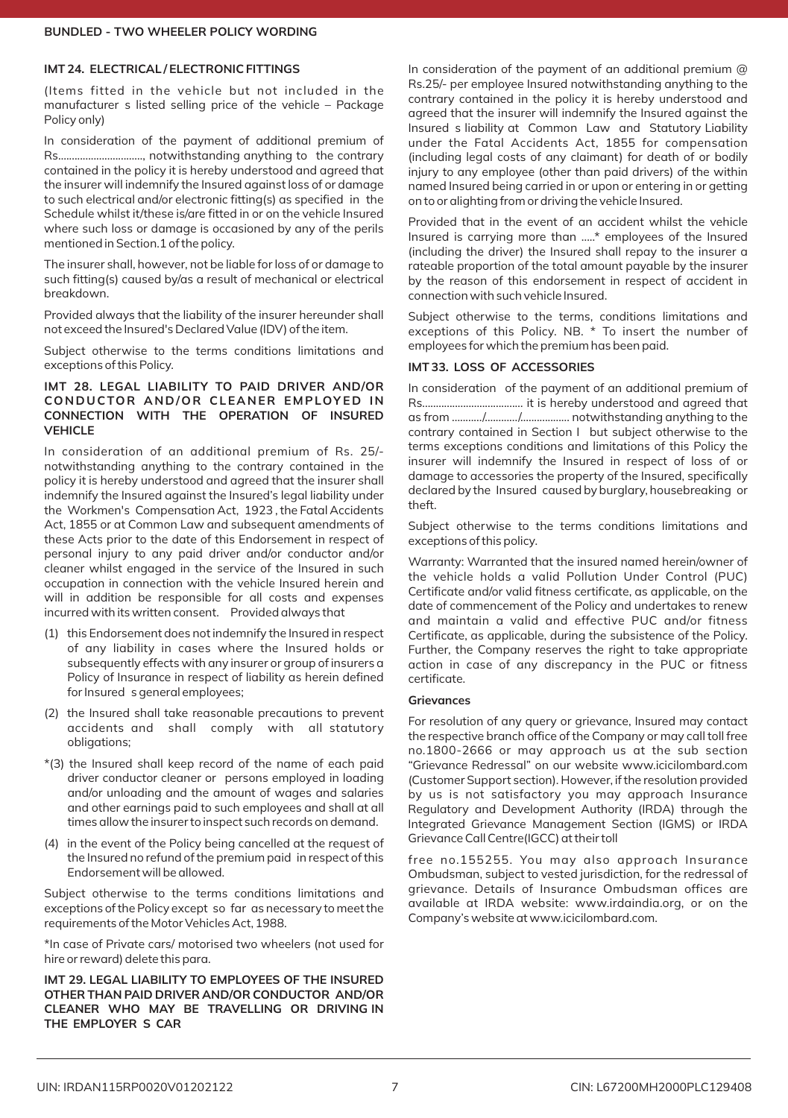### **IMT 24. ELECTRICAL / ELECTRONIC FITTINGS**

(Items fitted in the vehicle but not included in the manufacturer s listed selling price of the vehicle – Package Policy only)

In consideration of the payment of additional premium of Rs…......................……, notwithstanding anything to the contrary contained in the policy it is hereby understood and agreed that the insurer will indemnify the Insured against loss of or damage to such electrical and/or electronic fitting(s) as specified in the Schedule whilst it/these is/are fitted in or on the vehicle Insured where such loss or damage is occasioned by any of the perils mentioned in Section.1 of the policy.

The insurer shall, however, not be liable for loss of or damage to such fitting(s) caused by/as a result of mechanical or electrical breakdown.

Provided always that the liability of the insurer hereunder shall not exceed the Insured's Declared Value (IDV) of the item.

Subject otherwise to the terms conditions limitations and exceptions of this Policy.

# **IMT 28. LEGAL LIABILITY TO PAID DRIVER AND/OR CONDUCTOR AND/OR CLEANE R E M PLOY ED IN CONNECTION WITH THE OPERATION OF INSURED VEHICLE**

In consideration of an additional premium of Rs. 25/‐ notwithstanding anything to the contrary contained in the policy it is hereby understood and agreed that the insurer shall indemnify the Insured against the Insured's legal liability under the Workmen's Compensation Act, 1923 , the Fatal Accidents Act, 1855 or at Common Law and subsequent amendments of these Acts prior to the date of this Endorsement in respect of personal injury to any paid driver and/or conductor and/or cleaner whilst engaged in the service of the Insured in such occupation in connection with the vehicle Insured herein and will in addition be responsible for all costs and expenses incurred with its written consent. Provided always that

- (1) this Endorsement does not indemnify the Insured in respect of any liability in cases where the Insured holds or subsequently effects with any insurer or group of insurers a Policy of Insurance in respect of liability as herein defined for Insured s general employees;
- (2) the Insured shall take reasonable precautions to prevent accidents and shall comply with all statutory obligations;
- \*(3) the Insured shall keep record of the name of each paid driver conductor cleaner or persons employed in loading and/or unloading and the amount of wages and salaries and other earnings paid to such employees and shall at all times allow the insurer to inspect such records on demand.
- (4) in the event of the Policy being cancelled at the request of the Insured no refund of the premium paid in respect of this Endorsement will be allowed.

Subject otherwise to the terms conditions limitations and exceptions of the Policy except so far as necessary to meet the requirements of the Motor Vehicles Act, 1988.

\*In case of Private cars/ motorised two wheelers (not used for hire or reward) delete this para.

**IMT 29. LEGAL LIABILITY TO EMPLOYEES OF THE INSURED OTHER THAN PAID DRIVER AND/OR CONDUCTOR AND/OR CLEANER WHO MAY BE TRAVELLING OR DRIVING IN THE EMPLOYER S CAR** 

In consideration of the payment of an additional premium @ Rs.25/‐ per employee Insured notwithstanding anything to the contrary contained in the policy it is hereby understood and agreed that the insurer will indemnify the Insured against the Insured s liability at Common Law and Statutory Liability under the Fatal Accidents Act, 1855 for compensation (including legal costs of any claimant) for death of or bodily injury to any employee (other than paid drivers) of the within named Insured being carried in or upon or entering in or getting on to or alighting from or driving the vehicle Insured.

Provided that in the event of an accident whilst the vehicle Insured is carrying more than .....\* employees of the Insured (including the driver) the Insured shall repay to the insurer a rateable proportion of the total amount payable by the insurer by the reason of this endorsement in respect of accident in connection with such vehicle Insured.

Subject otherwise to the terms, conditions limitations and exceptions of this Policy. NB. \* To insert the number of employees for which the premium has been paid.

# **IMT 33. LOSS OF ACCESSORIES**

In consideration of the payment of an additional premium of Rs...…............................… it is hereby understood and agreed that as from .........../…........./…............... notwithstanding anything to the contrary contained in Section I but subject otherwise to the terms exceptions conditions and limitations of this Policy the insurer will indemnify the Insured in respect of loss of or damage to accessories the property of the Insured, specifically declared by the Insured caused by burglary, housebreaking or theft.

Subject otherwise to the terms conditions limitations and exceptions of this policy.

Warranty: Warranted that the insured named herein/owner of the vehicle holds a valid Pollution Under Control (PUC) Certificate and/or valid fitness certificate, as applicable, on the date of commencement of the Policy and undertakes to renew and maintain a valid and effective PUC and/or fitness Certificate, as applicable, during the subsistence of the Policy. Further, the Company reserves the right to take appropriate action in case of any discrepancy in the PUC or fitness certificate.

#### **Grievances**

For resolution of any query or grievance, Insured may contact the respective branch office of the Company or may call toll free no.1800-2666 or may approach us at the sub section "Grievance Redressal" on our website www.icicilombard.com (Customer Support section). However, if the resolution provided by us is not satisfactory you may approach Insurance Regulatory and Development Authority (IRDA) through the Integrated Grievance Management Section (IGMS) or IRDA Grievance Call Centre(IGCC) at their toll

free no.155255. You may also approach Insurance Ombudsman, subject to vested jurisdiction, for the redressal of grievance. Details of Insurance Ombudsman offices are available at IRDA website: www.irdaindia.org, or on the Company's website at www.icicilombard.com.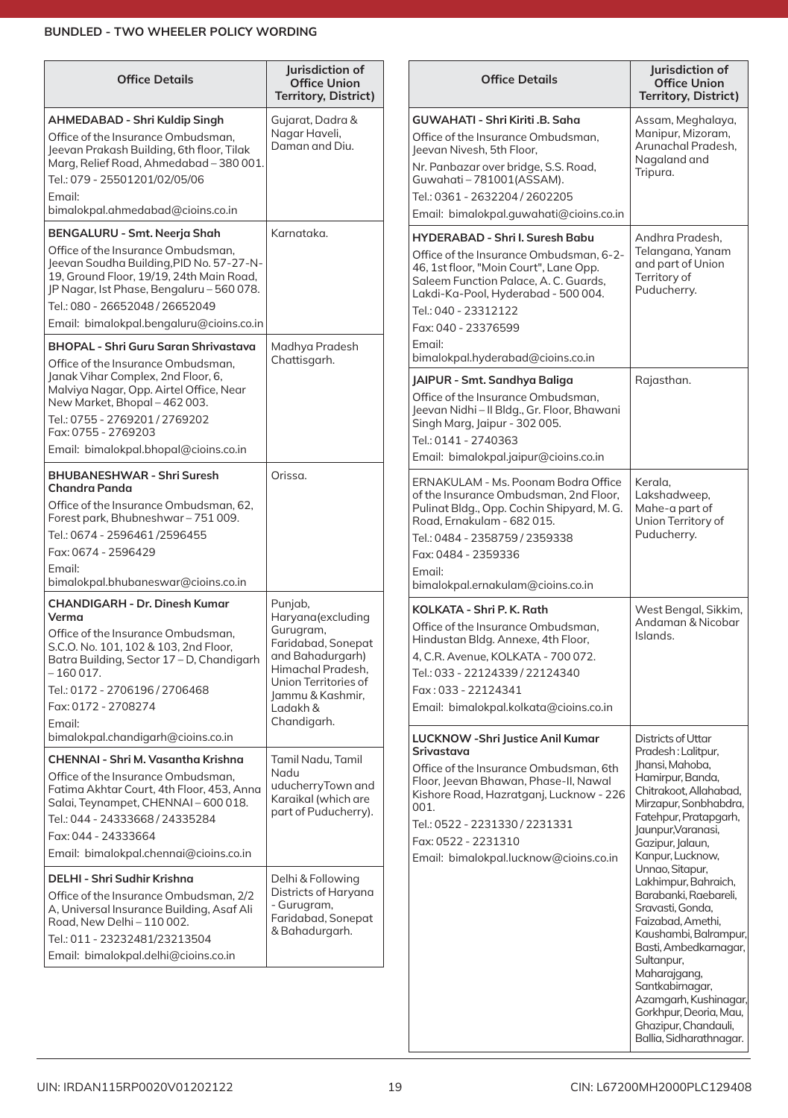| <b>Office Details</b>                                                                                                                                                                                                                                                                                                                                                                                                                       | Jurisdiction of<br><b>Office Union</b><br><b>Territory, District)</b>                                                                                                           | <b>Office Details</b>                                                                                                                                                                                                                                                                    | Jurisdiction of<br><b>Office Union</b><br><b>Territory, District)</b>                                                                                                                                                                                                                                             |
|---------------------------------------------------------------------------------------------------------------------------------------------------------------------------------------------------------------------------------------------------------------------------------------------------------------------------------------------------------------------------------------------------------------------------------------------|---------------------------------------------------------------------------------------------------------------------------------------------------------------------------------|------------------------------------------------------------------------------------------------------------------------------------------------------------------------------------------------------------------------------------------------------------------------------------------|-------------------------------------------------------------------------------------------------------------------------------------------------------------------------------------------------------------------------------------------------------------------------------------------------------------------|
| AHMEDABAD - Shri Kuldip Singh<br>Office of the Insurance Ombudsman.<br>Jeevan Prakash Building, 6th floor, Tilak<br>Marg, Relief Road, Ahmedabad - 380 001.<br>Tel.: 079 - 25501201/02/05/06<br>Email:<br>bimalokpal.ahmedabad@cioins.co.in                                                                                                                                                                                                 | Gujarat, Dadra &<br>Nagar Haveli,<br>Daman and Diu.                                                                                                                             | GUWAHATI - Shri Kiriti .B. Saha<br>Office of the Insurance Ombudsman,<br>leevan Nivesh, 5th Floor.<br>Nr. Panbazar over bridge, S.S. Road,<br>Guwahati-781001(ASSAM).<br>Tel.: 0361 - 2632204 / 2602205<br>Email: bimalokpal.guwahati@cioins.co.in                                       | Assam, Meghalaya,<br>Manipur, Mizoram,<br>Arunachal Pradesh,<br>Nagaland and<br>Tripura.                                                                                                                                                                                                                          |
| BENGALURU - Smt. Neerja Shah<br>Office of the Insurance Ombudsman.<br>Jeevan Soudha Building, PID No. 57-27-N-<br>19, Ground Floor, 19/19, 24th Main Road,<br>JP Nagar, Ist Phase, Bengaluru - 560 078.<br>Tel.: 080 - 26652048 / 26652049<br>Email: bimalokpal.bengaluru@cioins.co.in<br><b>BHOPAL - Shri Guru Saran Shrivastava</b>                                                                                                       | Karnataka.<br>Madhya Pradesh                                                                                                                                                    | <b>HYDERABAD - Shri I. Suresh Babu</b><br>Office of the Insurance Ombudsman, 6-2-<br>46, 1st floor, "Moin Court", Lane Opp.<br>Saleem Function Palace, A. C. Guards,<br>Lakdi-Ka-Pool, Hyderabad - 500 004.<br>Tel.: 040 - 23312122<br>Fax: 040 - 23376599<br>Email:                     | Andhra Pradesh,<br>Telangana, Yanam<br>and part of Union<br>Territory of<br>Puducherry.                                                                                                                                                                                                                           |
| Office of the Insurance Ombudsman.<br>Janak Vihar Complex, 2nd Floor, 6,<br>Malviya Nagar, Opp. Airtel Office, Near<br>New Market, Bhopal - 462 003.<br>Tel.: 0755 - 2769201 / 2769202<br>Fax: 0755 - 2769203<br>Email: bimalokpal.bhopal@cioins.co.in                                                                                                                                                                                      | Chattisgarh.                                                                                                                                                                    | bimalokpal.hyderabad@cioins.co.in<br>JAIPUR - Smt. Sandhya Baliga<br>Office of the Insurance Ombudsman,<br>Jeevan Nidhi - II Bldg., Gr. Floor, Bhawani<br>Singh Marg, Jaipur - 302 005.<br>Tel.: 0141 - 2740363<br>Email: bimalokpal.jaipur@cioins.co.in                                 | Rajasthan.                                                                                                                                                                                                                                                                                                        |
| <b>BHUBANESHWAR - Shri Suresh</b><br><b>Chandra Panda</b><br>Office of the Insurance Ombudsman, 62,<br>Forest park, Bhubneshwar-751009.<br>Tel.: 0674 - 2596461/2596455<br>Fax: 0674 - 2596429<br>Email:<br>bimalokpal.bhubaneswar@cioins.co.in                                                                                                                                                                                             | Orissa.                                                                                                                                                                         | ERNAKULAM - Ms. Poonam Bodra Office<br>of the Insurance Ombudsman, 2nd Floor,<br>Pulinat Bldg., Opp. Cochin Shipyard, M. G.<br>Road, Ernakulam - 682 015.<br>Tel.: 0484 - 2358759 / 2359338<br>Fax: 0484 - 2359336<br>Fmail:<br>bimalokpal.ernakulam@cioins.co.in                        | Kerala,<br>Lakshadweep,<br>Mahe-a part of<br>Union Territory of<br>Puducherry.                                                                                                                                                                                                                                    |
| <b>CHANDIGARH - Dr. Dinesh Kumar</b><br>Verma<br>Office of the Insurance Ombudsman.<br>S.C.O. No. 101, 102 & 103, 2nd Floor,<br>Batra Building, Sector 17 - D, Chandigarh<br>– 160 017.<br>Tel.: 0172 - 2706196 / 2706468<br>Fax: 0172 - 2708274                                                                                                                                                                                            | Punjab,<br>Haryana(excluding<br>Gurugram,<br>Faridabad, Sonepat<br>and Bahadurgarh)<br>Himachal Pradesh,<br>Union Territories of<br>Jammu & Kashmir,<br>Ladakh &<br>Chandigarh. | KOLKATA - Shri P. K. Rath<br>Office of the Insurance Ombudsman.<br>Hindustan Bldg. Annexe, 4th Floor,<br>4, C.R. Avenue, KOLKATA - 700 072.<br>Tel.: 033 - 22124339 / 22124340<br>Fax: 033 - 22124341<br>Email: bimalokpal.kolkata@cioins.co.in                                          | West Bengal, Sikkim,<br>Andaman & Nicobar<br>Islands.                                                                                                                                                                                                                                                             |
| Email:<br>bimalokpal.chandigarh@cioins.co.in<br><b>CHENNAI - Shri M. Vasantha Krishna</b><br>Office of the Insurance Ombudsman,<br>Fatima Akhtar Court, 4th Floor, 453, Anna<br>Salai, Teynampet, CHENNAI-600018.<br>Tel.: 044 - 24333668 / 24335284<br>Fax: 044 - 24333664<br>Email: bimalokpal.chennai@cioins.co.in<br>DELHI - Shri Sudhir Krishna<br>Office of the Insurance Ombudsman, 2/2<br>A, Universal Insurance Building, Asaf Ali | Tamil Nadu, Tamil<br>Nadu<br>uducherryTown and<br>Karaikal (which are<br>part of Puducherry).<br>Delhi & Following<br>Districts of Haryana<br>- Gurugram,                       | LUCKNOW - Shri Justice Anil Kumar<br>Srivastava<br>Office of the Insurance Ombudsman, 6th<br>Floor, Jeevan Bhawan, Phase-II, Nawal<br>Kishore Road, Hazratganj, Lucknow - 226<br>001.<br>Tel.: 0522 - 2231330 / 2231331<br>Fax: 0522 - 2231310<br>Email: bimalokpal.lucknow@cioins.co.in | Districts of Uttar<br>Pradesh: Lalitpur,<br>Jhansi, Mahoba,<br>Hamirpur, Banda,<br>Chitrakoot, Allahabad,<br>Mirzapur, Sonbhabdra,<br>Fatehpur, Pratapgarh,<br>Jaunpur, Varanasi,<br>Gazipur, Jalaun,<br>Kanpur, Lucknow,<br>Unnao, Sitapur,<br>Lakhimpur, Bahraich,<br>Barabanki, Raebareli,<br>Sravasti, Gonda, |
| Road, New Delhi - 110 002.<br>Tel.: 011 - 23232481/23213504<br>Email: bimalokpal.delhi@cioins.co.in                                                                                                                                                                                                                                                                                                                                         | Faridabad, Sonepat<br>& Bahadurgarh.                                                                                                                                            |                                                                                                                                                                                                                                                                                          | Faizabad, Amethi,<br>Kaushambi, Balrampur,<br>Basti, Ambedkarnagar,<br>Sultanpur,<br>Maharajgang,<br>Santkabirnagar,<br>Azamgarh, Kushinagar,<br>Gorkhpur, Deoria, Mau,<br>Ghazipur, Chandauli,                                                                                                                   |

Ballia,Sidharathnagar.